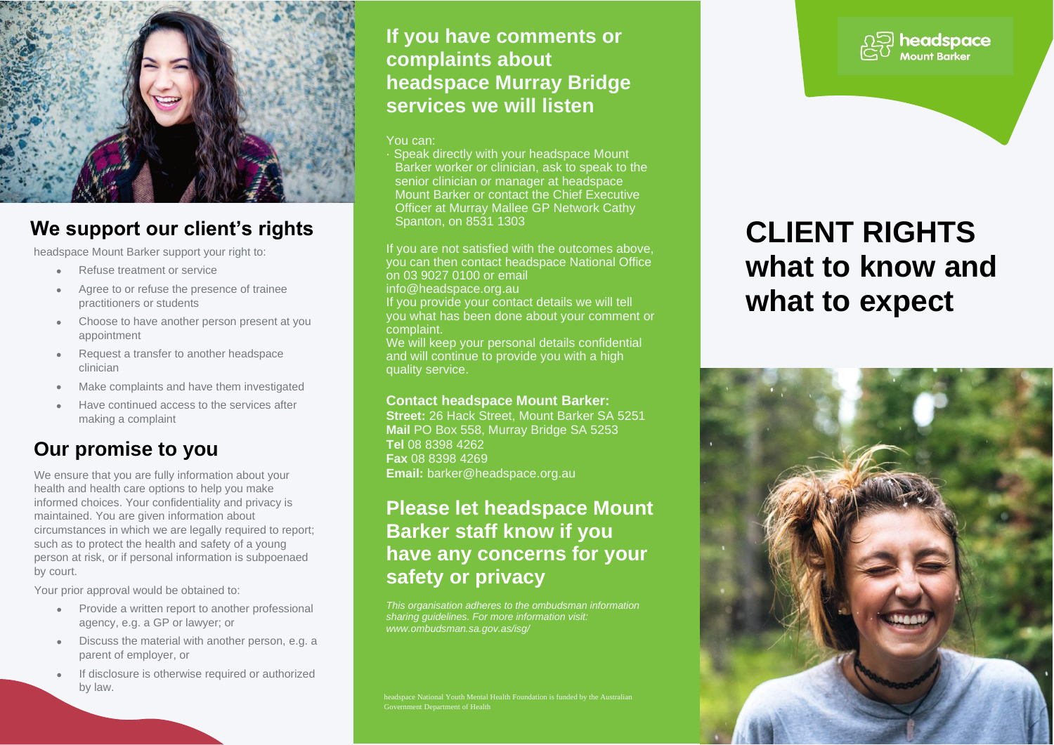

## **We support our client's rights**

headspace Mount Barker support your right to:

- Refuse treatment or service
- Agree to or refuse the presence of trainee practitioners or students
- Choose to have another person present at you appointment
- Request a transfer to another headspace clinician
- Make complaints and have them investigated
- Have continued access to the services after making a complaint

## **Our promise to you**

We ensure that you are fully information about your health and health care options to help you make informed choices. Your confidentiality and privacy is maintained. You are given information about circumstances in which we are legally required to report; such as to protect the health and safety of a young person at risk, or if personal information is subpoenaed by court.

Your prior approval would be obtained to:

- Provide a written report to another professional agency, e.g. a GP or lawyer; or
- Discuss the material with another person, e.g. a parent of employer, or
- If disclosure is otherwise required or authorized by law.

### **If you have comments or complaints about headspace Murray Bridge services we will listen**

### You can:

· Speak directly with your headspace Mount Barker worker or clinician, ask to speak to the senior clinician or manager at headspace Mount Barker or contact the Chief Executive Officer at Murray Mallee GP Network Cathy Spanton, on 8531 1303

If you are not satisfied with the outcomes above, you can then contact headspace National Office on 03 9027 0100 or email info@headspace.org.au If you provide your contact details we will tell you what has been done about your comment or complaint.

We will keep your personal details confidential and will continue to provide you with a high quality service.

### **Contact headspace Mount Barker:**

**Street:** 26 Hack Street, Mount Barker SA 5251 **Mail** PO Box 558, Murray Bridge SA 5253 **Tel** 08 8398 4262 **Fax** 08 8398 4269 **Email:** barker@headspace.org.au

## **Please let headspace Mount Barker staff know if you have any concerns for your safety or privacy**

*This organisation adheres to the ombudsman information sharing guidelines. For more information visit: www.ombudsman.sa.gov.as/isg/*

Government Department of Health

## headspace

# **CLIENT RIGHTS what to know and what to expect**